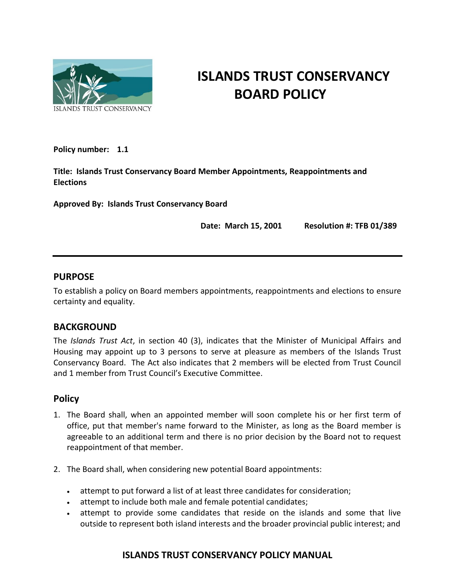

# **ISLANDS TRUST CONSERVANCY BOARD POLICY**

**Policy number: 1.1**

**Title: Islands Trust Conservancy Board Member Appointments, Reappointments and Elections**

**Approved By: Islands Trust Conservancy Board** 

**Date: March 15, 2001 Resolution #: TFB 01/389**

#### **PURPOSE**

To establish a policy on Board members appointments, reappointments and elections to ensure certainty and equality.

## **BACKGROUND**

The *Islands Trust Act*, in section 40 (3), indicates that the Minister of Municipal Affairs and Housing may appoint up to 3 persons to serve at pleasure as members of the Islands Trust Conservancy Board. The Act also indicates that 2 members will be elected from Trust Council and 1 member from Trust Council's Executive Committee.

#### **Policy**

- 1. The Board shall, when an appointed member will soon complete his or her first term of office, put that member's name forward to the Minister, as long as the Board member is agreeable to an additional term and there is no prior decision by the Board not to request reappointment of that member.
- 2. The Board shall, when considering new potential Board appointments:
	- attempt to put forward a list of at least three candidates for consideration;
	- attempt to include both male and female potential candidates;
	- attempt to provide some candidates that reside on the islands and some that live outside to represent both island interests and the broader provincial public interest; and

## **ISLANDS TRUST CONSERVANCY POLICY MANUAL**